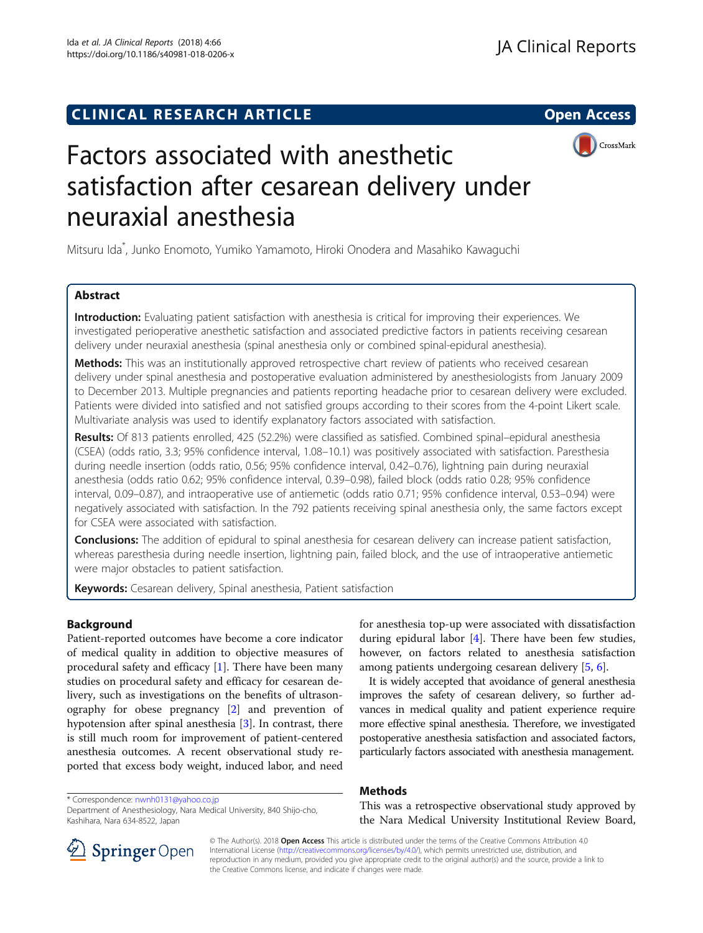## **CLINICAL RESEARCH ARTICLE CLINICAL RESEARCH ARTICLE**



# Factors associated with anesthetic satisfaction after cesarean delivery under neuraxial anesthesia

Mitsuru Ida\* , Junko Enomoto, Yumiko Yamamoto, Hiroki Onodera and Masahiko Kawaguchi

## Abstract

Introduction: Evaluating patient satisfaction with anesthesia is critical for improving their experiences. We investigated perioperative anesthetic satisfaction and associated predictive factors in patients receiving cesarean delivery under neuraxial anesthesia (spinal anesthesia only or combined spinal-epidural anesthesia).

Methods: This was an institutionally approved retrospective chart review of patients who received cesarean delivery under spinal anesthesia and postoperative evaluation administered by anesthesiologists from January 2009 to December 2013. Multiple pregnancies and patients reporting headache prior to cesarean delivery were excluded. Patients were divided into satisfied and not satisfied groups according to their scores from the 4-point Likert scale. Multivariate analysis was used to identify explanatory factors associated with satisfaction.

Results: Of 813 patients enrolled, 425 (52.2%) were classified as satisfied. Combined spinal–epidural anesthesia (CSEA) (odds ratio, 3.3; 95% confidence interval, 1.08–10.1) was positively associated with satisfaction. Paresthesia during needle insertion (odds ratio, 0.56; 95% confidence interval, 0.42–0.76), lightning pain during neuraxial anesthesia (odds ratio 0.62; 95% confidence interval, 0.39–0.98), failed block (odds ratio 0.28; 95% confidence interval, 0.09–0.87), and intraoperative use of antiemetic (odds ratio 0.71; 95% confidence interval, 0.53–0.94) were negatively associated with satisfaction. In the 792 patients receiving spinal anesthesia only, the same factors except for CSEA were associated with satisfaction.

Conclusions: The addition of epidural to spinal anesthesia for cesarean delivery can increase patient satisfaction, whereas paresthesia during needle insertion, lightning pain, failed block, and the use of intraoperative antiemetic were major obstacles to patient satisfaction.

Keywords: Cesarean delivery, Spinal anesthesia, Patient satisfaction

## Background

Patient-reported outcomes have become a core indicator of medical quality in addition to objective measures of procedural safety and efficacy  $[1]$ . There have been many studies on procedural safety and efficacy for cesarean delivery, such as investigations on the benefits of ultrasonography for obese pregnancy [[2\]](#page-4-0) and prevention of hypotension after spinal anesthesia [\[3\]](#page-4-0). In contrast, there is still much room for improvement of patient-centered anesthesia outcomes. A recent observational study reported that excess body weight, induced labor, and need

for anesthesia top-up were associated with dissatisfaction during epidural labor [\[4](#page-4-0)]. There have been few studies, however, on factors related to anesthesia satisfaction among patients undergoing cesarean delivery [[5,](#page-4-0) [6\]](#page-4-0).

It is widely accepted that avoidance of general anesthesia improves the safety of cesarean delivery, so further advances in medical quality and patient experience require more effective spinal anesthesia. Therefore, we investigated postoperative anesthesia satisfaction and associated factors, particularly factors associated with anesthesia management.

## Methods

This was a retrospective observational study approved by the Nara Medical University Institutional Review Board,



© The Author(s). 2018 Open Access This article is distributed under the terms of the Creative Commons Attribution 4.0

International License ([http://creativecommons.org/licenses/by/4.0/\)](http://creativecommons.org/licenses/by/4.0/), which permits unrestricted use, distribution, and reproduction in any medium, provided you give appropriate credit to the original author(s) and the source, provide a link to the Creative Commons license, and indicate if changes were made.

<sup>\*</sup> Correspondence: [nwnh0131@yahoo.co.jp](mailto:nwnh0131@yahoo.co.jp) Department of Anesthesiology, Nara Medical University, 840 Shijo-cho, Kashihara, Nara 634-8522, Japan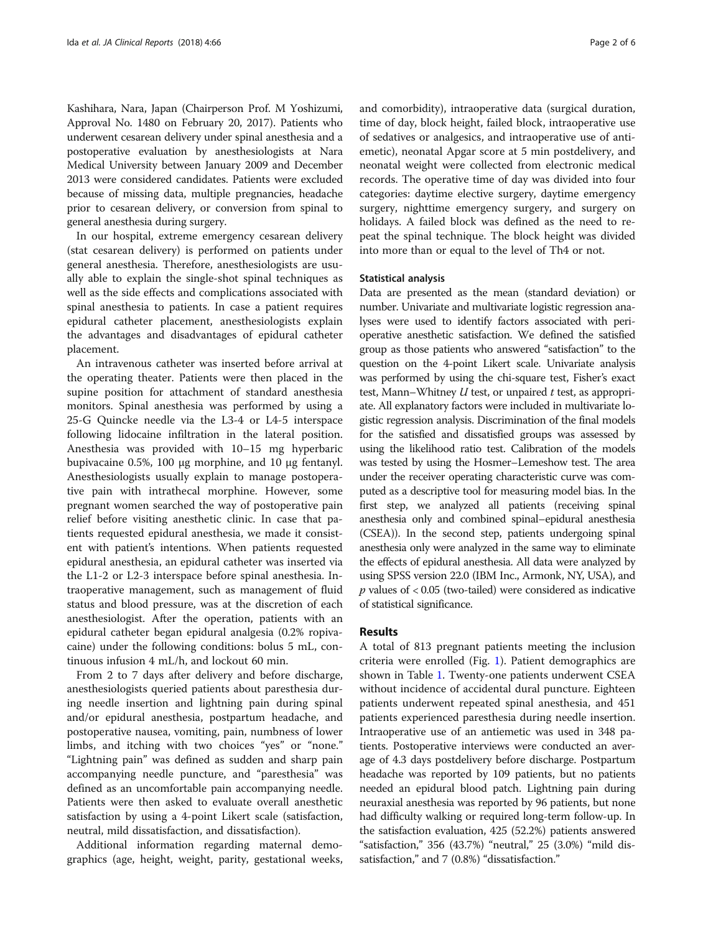Kashihara, Nara, Japan (Chairperson Prof. M Yoshizumi, Approval No. 1480 on February 20, 2017). Patients who underwent cesarean delivery under spinal anesthesia and a postoperative evaluation by anesthesiologists at Nara Medical University between January 2009 and December 2013 were considered candidates. Patients were excluded because of missing data, multiple pregnancies, headache prior to cesarean delivery, or conversion from spinal to general anesthesia during surgery.

In our hospital, extreme emergency cesarean delivery (stat cesarean delivery) is performed on patients under general anesthesia. Therefore, anesthesiologists are usually able to explain the single-shot spinal techniques as well as the side effects and complications associated with spinal anesthesia to patients. In case a patient requires epidural catheter placement, anesthesiologists explain the advantages and disadvantages of epidural catheter placement.

An intravenous catheter was inserted before arrival at the operating theater. Patients were then placed in the supine position for attachment of standard anesthesia monitors. Spinal anesthesia was performed by using a 25-G Quincke needle via the L3-4 or L4-5 interspace following lidocaine infiltration in the lateral position. Anesthesia was provided with 10–15 mg hyperbaric bupivacaine 0.5%, 100 μg morphine, and 10 μg fentanyl. Anesthesiologists usually explain to manage postoperative pain with intrathecal morphine. However, some pregnant women searched the way of postoperative pain relief before visiting anesthetic clinic. In case that patients requested epidural anesthesia, we made it consistent with patient's intentions. When patients requested epidural anesthesia, an epidural catheter was inserted via the L1-2 or L2-3 interspace before spinal anesthesia. Intraoperative management, such as management of fluid status and blood pressure, was at the discretion of each anesthesiologist. After the operation, patients with an epidural catheter began epidural analgesia (0.2% ropivacaine) under the following conditions: bolus 5 mL, continuous infusion 4 mL/h, and lockout 60 min.

From 2 to 7 days after delivery and before discharge, anesthesiologists queried patients about paresthesia during needle insertion and lightning pain during spinal and/or epidural anesthesia, postpartum headache, and postoperative nausea, vomiting, pain, numbness of lower limbs, and itching with two choices "yes" or "none." "Lightning pain" was defined as sudden and sharp pain accompanying needle puncture, and "paresthesia" was defined as an uncomfortable pain accompanying needle. Patients were then asked to evaluate overall anesthetic satisfaction by using a 4-point Likert scale (satisfaction, neutral, mild dissatisfaction, and dissatisfaction).

Additional information regarding maternal demographics (age, height, weight, parity, gestational weeks, and comorbidity), intraoperative data (surgical duration, time of day, block height, failed block, intraoperative use of sedatives or analgesics, and intraoperative use of antiemetic), neonatal Apgar score at 5 min postdelivery, and neonatal weight were collected from electronic medical records. The operative time of day was divided into four categories: daytime elective surgery, daytime emergency surgery, nighttime emergency surgery, and surgery on holidays. A failed block was defined as the need to repeat the spinal technique. The block height was divided into more than or equal to the level of Th4 or not.

#### Statistical analysis

Data are presented as the mean (standard deviation) or number. Univariate and multivariate logistic regression analyses were used to identify factors associated with perioperative anesthetic satisfaction. We defined the satisfied group as those patients who answered "satisfaction" to the question on the 4-point Likert scale. Univariate analysis was performed by using the chi-square test, Fisher's exact test, Mann–Whitney  $U$  test, or unpaired  $t$  test, as appropriate. All explanatory factors were included in multivariate logistic regression analysis. Discrimination of the final models for the satisfied and dissatisfied groups was assessed by using the likelihood ratio test. Calibration of the models was tested by using the Hosmer–Lemeshow test. The area under the receiver operating characteristic curve was computed as a descriptive tool for measuring model bias. In the first step, we analyzed all patients (receiving spinal anesthesia only and combined spinal–epidural anesthesia (CSEA)). In the second step, patients undergoing spinal anesthesia only were analyzed in the same way to eliminate the effects of epidural anesthesia. All data were analyzed by using SPSS version 22.0 (IBM Inc., Armonk, NY, USA), and  $p$  values of  $< 0.05$  (two-tailed) were considered as indicative of statistical significance.

### Results

A total of 813 pregnant patients meeting the inclusion criteria were enrolled (Fig. [1\)](#page-2-0). Patient demographics are shown in Table [1.](#page-3-0) Twenty-one patients underwent CSEA without incidence of accidental dural puncture. Eighteen patients underwent repeated spinal anesthesia, and 451 patients experienced paresthesia during needle insertion. Intraoperative use of an antiemetic was used in 348 patients. Postoperative interviews were conducted an average of 4.3 days postdelivery before discharge. Postpartum headache was reported by 109 patients, but no patients needed an epidural blood patch. Lightning pain during neuraxial anesthesia was reported by 96 patients, but none had difficulty walking or required long-term follow-up. In the satisfaction evaluation, 425 (52.2%) patients answered "satisfaction," 356 (43.7%) "neutral," 25 (3.0%) "mild dissatisfaction," and 7 (0.8%) "dissatisfaction."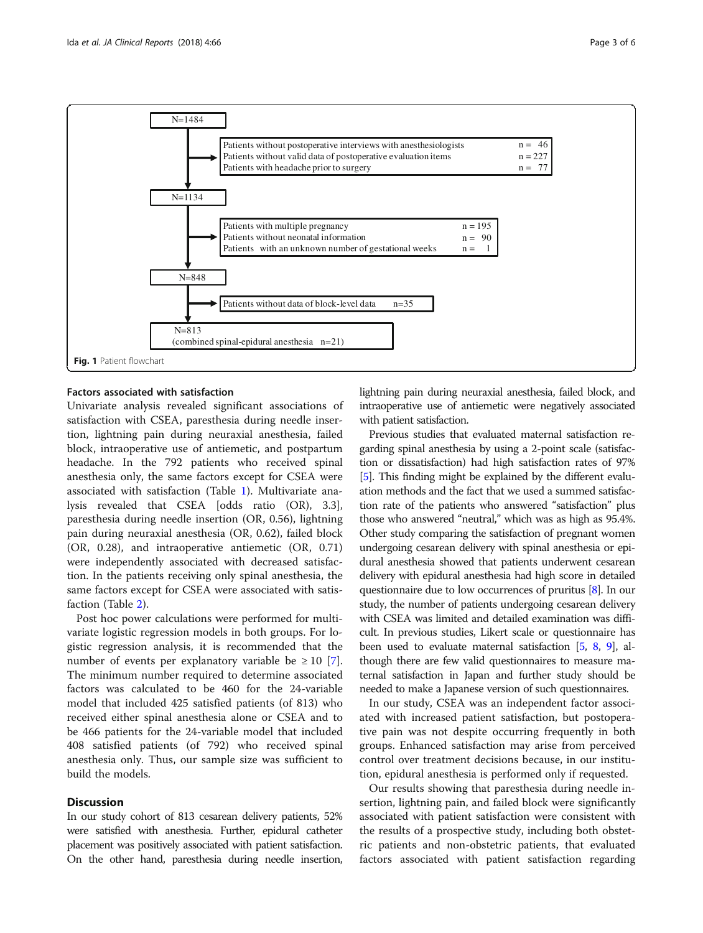<span id="page-2-0"></span>

## Factors associated with satisfaction

Univariate analysis revealed significant associations of satisfaction with CSEA, paresthesia during needle insertion, lightning pain during neuraxial anesthesia, failed block, intraoperative use of antiemetic, and postpartum headache. In the 792 patients who received spinal anesthesia only, the same factors except for CSEA were associated with satisfaction (Table [1](#page-3-0)). Multivariate analysis revealed that CSEA [odds ratio (OR), 3.3], paresthesia during needle insertion (OR, 0.56), lightning pain during neuraxial anesthesia (OR, 0.62), failed block (OR, 0.28), and intraoperative antiemetic (OR, 0.71) were independently associated with decreased satisfaction. In the patients receiving only spinal anesthesia, the same factors except for CSEA were associated with satisfaction (Table [2\)](#page-4-0).

Post hoc power calculations were performed for multivariate logistic regression models in both groups. For logistic regression analysis, it is recommended that the number of events per explanatory variable be  $\geq 10$  [\[7](#page-4-0)]. The minimum number required to determine associated factors was calculated to be 460 for the 24-variable model that included 425 satisfied patients (of 813) who received either spinal anesthesia alone or CSEA and to be 466 patients for the 24-variable model that included 408 satisfied patients (of 792) who received spinal anesthesia only. Thus, our sample size was sufficient to build the models.

## **Discussion**

In our study cohort of 813 cesarean delivery patients, 52% were satisfied with anesthesia. Further, epidural catheter placement was positively associated with patient satisfaction. On the other hand, paresthesia during needle insertion, lightning pain during neuraxial anesthesia, failed block, and intraoperative use of antiemetic were negatively associated with patient satisfaction.

Previous studies that evaluated maternal satisfaction regarding spinal anesthesia by using a 2-point scale (satisfaction or dissatisfaction) had high satisfaction rates of 97% [[5](#page-4-0)]. This finding might be explained by the different evaluation methods and the fact that we used a summed satisfaction rate of the patients who answered "satisfaction" plus those who answered "neutral," which was as high as 95.4%. Other study comparing the satisfaction of pregnant women undergoing cesarean delivery with spinal anesthesia or epidural anesthesia showed that patients underwent cesarean delivery with epidural anesthesia had high score in detailed questionnaire due to low occurrences of pruritus [\[8](#page-4-0)]. In our study, the number of patients undergoing cesarean delivery with CSEA was limited and detailed examination was difficult. In previous studies, Likert scale or questionnaire has been used to evaluate maternal satisfaction [\[5,](#page-4-0) [8](#page-4-0), [9\]](#page-4-0), although there are few valid questionnaires to measure maternal satisfaction in Japan and further study should be needed to make a Japanese version of such questionnaires.

In our study, CSEA was an independent factor associated with increased patient satisfaction, but postoperative pain was not despite occurring frequently in both groups. Enhanced satisfaction may arise from perceived control over treatment decisions because, in our institution, epidural anesthesia is performed only if requested.

Our results showing that paresthesia during needle insertion, lightning pain, and failed block were significantly associated with patient satisfaction were consistent with the results of a prospective study, including both obstetric patients and non-obstetric patients, that evaluated factors associated with patient satisfaction regarding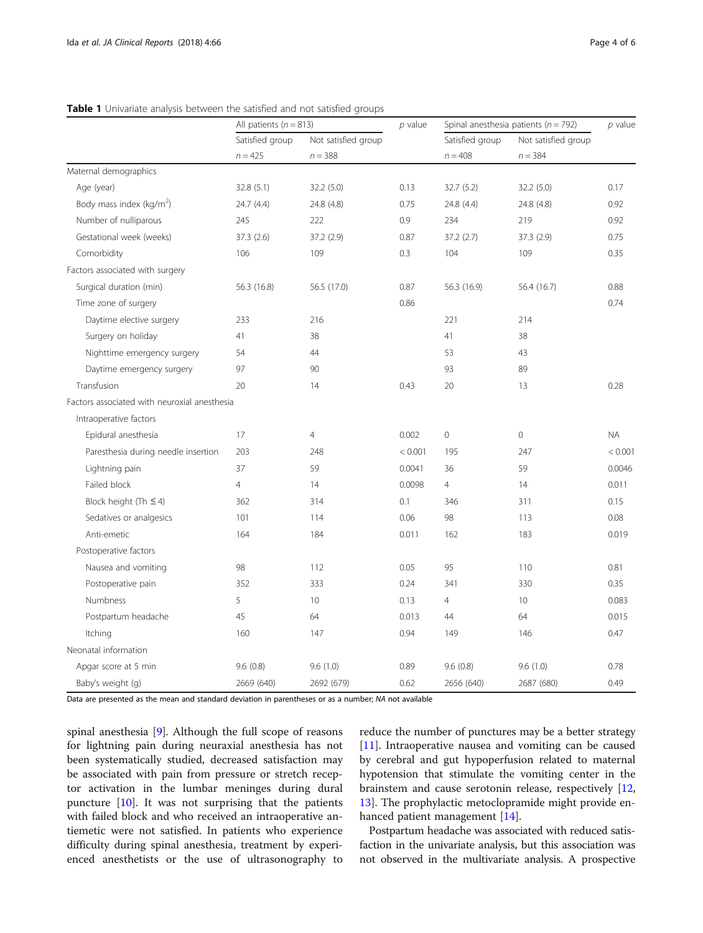|                                              | All patients ( $n = 813$ ) |                     | $p$ value | Spinal anesthesia patients ( $n = 792$ ) |                     | $p$ value |
|----------------------------------------------|----------------------------|---------------------|-----------|------------------------------------------|---------------------|-----------|
|                                              | Satisfied group            | Not satisfied group |           | Satisfied group                          | Not satisfied group |           |
|                                              | $n = 425$                  | $n = 388$           |           | $n = 408$                                | $n = 384$           |           |
| Maternal demographics                        |                            |                     |           |                                          |                     |           |
| Age (year)                                   | 32.8(5.1)                  | 32.2(5.0)           | 0.13      | 32.7(5.2)                                | 32.2(5.0)           | 0.17      |
| Body mass index (kg/m <sup>2</sup> )         | 24.7 (4.4)                 | 24.8 (4.8)          | 0.75      | 24.8 (4.4)                               | 24.8 (4.8)          | 0.92      |
| Number of nulliparous                        | 245                        | 222                 | 0.9       | 234                                      | 219                 | 0.92      |
| Gestational week (weeks)                     | 37.3(2.6)                  | 37.2 (2.9)          | 0.87      | 37.2(2.7)                                | 37.3 (2.9)          | 0.75      |
| Comorbidity                                  | 106                        | 109                 | 0.3       | 104                                      | 109                 | 0.35      |
| Factors associated with surgery              |                            |                     |           |                                          |                     |           |
| Surgical duration (min)                      | 56.3 (16.8)                | 56.5 (17.0)         | 0.87      | 56.3 (16.9)                              | 56.4 (16.7)         | 0.88      |
| Time zone of surgery                         |                            |                     | 0.86      |                                          |                     | 0.74      |
| Daytime elective surgery                     | 233                        | 216                 |           | 221                                      | 214                 |           |
| Surgery on holiday                           | 41                         | 38                  |           | 41                                       | 38                  |           |
| Nighttime emergency surgery                  | 54                         | 44                  |           | 53                                       | 43                  |           |
| Daytime emergency surgery                    | 97                         | 90                  |           | 93                                       | 89                  |           |
| Transfusion                                  | 20                         | 14                  | 0.43      | 20                                       | 13                  | 0.28      |
| Factors associated with neuroxial anesthesia |                            |                     |           |                                          |                     |           |
| Intraoperative factors                       |                            |                     |           |                                          |                     |           |
| Epidural anesthesia                          | 17                         | $\overline{4}$      | 0.002     | $\overline{0}$                           | $\mathbf 0$         | <b>NA</b> |
| Paresthesia during needle insertion          | 203                        | 248                 | < 0.001   | 195                                      | 247                 | < 0.001   |
| Lightning pain                               | 37                         | 59                  | 0.0041    | 36                                       | 59                  | 0.0046    |
| Failed block                                 | $\overline{4}$             | 14                  | 0.0098    | $\overline{4}$                           | 14                  | 0.011     |
| Block height (Th $\leq$ 4)                   | 362                        | 314                 | 0.1       | 346                                      | 311                 | 0.15      |
| Sedatives or analgesics                      | 101                        | 114                 | 0.06      | 98                                       | 113                 | 0.08      |
| Anti-emetic                                  | 164                        | 184                 | 0.011     | 162                                      | 183                 | 0.019     |
| Postoperative factors                        |                            |                     |           |                                          |                     |           |
| Nausea and vomiting                          | 98                         | 112                 | 0.05      | 95                                       | 110                 | 0.81      |
| Postoperative pain                           | 352                        | 333                 | 0.24      | 341                                      | 330                 | 0.35      |
| Numbness                                     | 5                          | 10                  | 0.13      | $\overline{4}$                           | 10                  | 0.083     |
| Postpartum headache                          | 45                         | 64                  | 0.013     | 44                                       | 64                  | 0.015     |
| Itching                                      | 160                        | 147                 | 0.94      | 149                                      | 146                 | 0.47      |
| Neonatal information                         |                            |                     |           |                                          |                     |           |
| Apgar score at 5 min                         | 9.6(0.8)                   | 9.6(1.0)            | 0.89      | 9.6(0.8)                                 | 9.6(1.0)            | 0.78      |
| Baby's weight (g)                            | 2669 (640)                 | 2692 (679)          | 0.62      | 2656 (640)                               | 2687 (680)          | 0.49      |

## <span id="page-3-0"></span>Table 1 Univariate analysis between the satisfied and not satisfied groups

Data are presented as the mean and standard deviation in parentheses or as a number; NA not available

spinal anesthesia [[9](#page-4-0)]. Although the full scope of reasons for lightning pain during neuraxial anesthesia has not been systematically studied, decreased satisfaction may be associated with pain from pressure or stretch receptor activation in the lumbar meninges during dural puncture [[10\]](#page-4-0). It was not surprising that the patients with failed block and who received an intraoperative antiemetic were not satisfied. In patients who experience difficulty during spinal anesthesia, treatment by experienced anesthetists or the use of ultrasonography to reduce the number of punctures may be a better strategy [[11\]](#page-4-0). Intraoperative nausea and vomiting can be caused by cerebral and gut hypoperfusion related to maternal hypotension that stimulate the vomiting center in the brainstem and cause serotonin release, respectively [[12](#page-5-0), [13\]](#page-5-0). The prophylactic metoclopramide might provide enhanced patient management [[14\]](#page-5-0).

Postpartum headache was associated with reduced satisfaction in the univariate analysis, but this association was not observed in the multivariate analysis. A prospective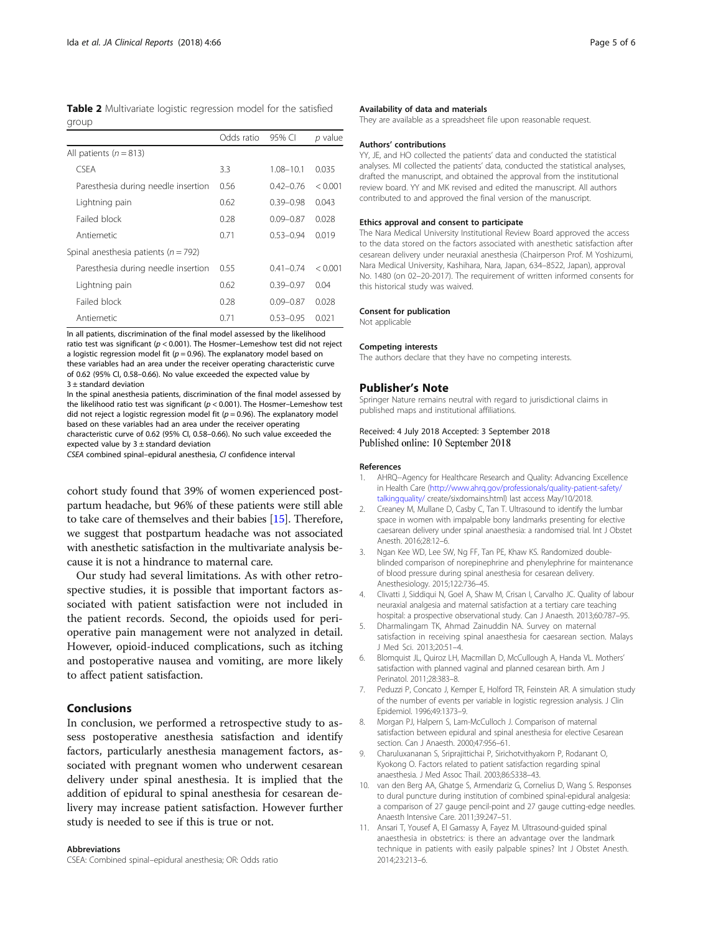<span id="page-4-0"></span>Table 2 Multivariate logistic regression model for the satisfied group

|                                          | Odds ratio | 95% CI        | p value |
|------------------------------------------|------------|---------------|---------|
| All patients ( $n = 813$ )               |            |               |         |
| <b>CSEA</b>                              | 3.3        | $1.08 - 10.1$ | 0.035   |
| Paresthesia during needle insertion      | 0.56       | $0.42 - 0.76$ | < 0.001 |
| Lightning pain                           | 0.62       | $0.39 - 0.98$ | 0.043   |
| Failed block                             | 0.28       | $0.09 - 0.87$ | 0.028   |
| Antiemetic                               | 0.71       | $0.53 - 0.94$ | 0.019   |
| Spinal anesthesia patients ( $n = 792$ ) |            |               |         |
| Paresthesia during needle insertion      | 0.55       | $0.41 - 0.74$ | < 0.001 |
| Lightning pain                           | 0.62       | $0.39 - 0.97$ | 0.04    |
| Failed block                             | 0.28       | $0.09 - 0.87$ | 0.028   |
| Antiemetic                               | 0.71       | $0.53 - 0.95$ | 0.021   |

In all patients, discrimination of the final model assessed by the likelihood ratio test was significant ( $p < 0.001$ ). The Hosmer-Lemeshow test did not reject a logistic regression model fit ( $p = 0.96$ ). The explanatory model based on these variables had an area under the receiver operating characteristic curve of 0.62 (95% CI, 0.58–0.66). No value exceeded the expected value by 3 ± standard deviation

In the spinal anesthesia patients, discrimination of the final model assessed by the likelihood ratio test was significant ( $p < 0.001$ ). The Hosmer-Lemeshow test did not reject a logistic regression model fit ( $p = 0.96$ ). The explanatory model based on these variables had an area under the receiver operating characteristic curve of 0.62 (95% CI, 0.58–0.66). No such value exceeded the expected value by  $3 \pm$  standard deviation

CSEA combined spinal–epidural anesthesia, CI confidence interval

cohort study found that 39% of women experienced postpartum headache, but 96% of these patients were still able to take care of themselves and their babies [[15](#page-5-0)]. Therefore, we suggest that postpartum headache was not associated with anesthetic satisfaction in the multivariate analysis because it is not a hindrance to maternal care.

Our study had several limitations. As with other retrospective studies, it is possible that important factors associated with patient satisfaction were not included in the patient records. Second, the opioids used for perioperative pain management were not analyzed in detail. However, opioid-induced complications, such as itching and postoperative nausea and vomiting, are more likely to affect patient satisfaction.

## Conclusions

In conclusion, we performed a retrospective study to assess postoperative anesthesia satisfaction and identify factors, particularly anesthesia management factors, associated with pregnant women who underwent cesarean delivery under spinal anesthesia. It is implied that the addition of epidural to spinal anesthesia for cesarean delivery may increase patient satisfaction. However further study is needed to see if this is true or not.

#### Abbreviations

CSEA: Combined spinal–epidural anesthesia; OR: Odds ratio

#### Availability of data and materials

They are available as a spreadsheet file upon reasonable request.

#### Authors' contributions

YY, JE, and HO collected the patients' data and conducted the statistical analyses. MI collected the patients' data, conducted the statistical analyses, drafted the manuscript, and obtained the approval from the institutional review board. YY and MK revised and edited the manuscript. All authors contributed to and approved the final version of the manuscript.

#### Ethics approval and consent to participate

The Nara Medical University Institutional Review Board approved the access to the data stored on the factors associated with anesthetic satisfaction after cesarean delivery under neuraxial anesthesia (Chairperson Prof. M Yoshizumi, Nara Medical University, Kashihara, Nara, Japan, 634–8522, Japan), approval No. 1480 (on 02–20-2017). The requirement of written informed consents for this historical study was waived.

#### Consent for publication

Not applicable

#### Competing interests

The authors declare that they have no competing interests.

#### Publisher's Note

Springer Nature remains neutral with regard to jurisdictional claims in published maps and institutional affiliations.

#### Received: 4 July 2018 Accepted: 3 September 2018 Published online: 10 September 2018

#### References

- 1. AHRQ--Agency for Healthcare Research and Quality: Advancing Excellence in Health Care [\(http://www.ahrq.gov/professionals/quality-patient-safety/](https://www.ahrq.gov/professionals/quality-patient-safety/talkingquality/) [talkingquality/](https://www.ahrq.gov/professionals/quality-patient-safety/talkingquality/) create/sixdomains.html) last access May/10/2018.
- 2. Creaney M, Mullane D, Casby C, Tan T. Ultrasound to identify the lumbar space in women with impalpable bony landmarks presenting for elective caesarean delivery under spinal anaesthesia: a randomised trial. Int J Obstet Anesth. 2016;28:12–6.
- 3. Ngan Kee WD, Lee SW, Ng FF, Tan PE, Khaw KS. Randomized doubleblinded comparison of norepinephrine and phenylephrine for maintenance of blood pressure during spinal anesthesia for cesarean delivery. Anesthesiology. 2015;122:736–45.
- 4. Clivatti J, Siddiqui N, Goel A, Shaw M, Crisan I, Carvalho JC. Quality of labour neuraxial analgesia and maternal satisfaction at a tertiary care teaching hospital: a prospective observational study. Can J Anaesth. 2013;60:787–95.
- 5. Dharmalingam TK, Ahmad Zainuddin NA. Survey on maternal satisfaction in receiving spinal anaesthesia for caesarean section. Malays J Med Sci. 2013;20:51–4.
- 6. Blomquist JL, Quiroz LH, Macmillan D, McCullough A, Handa VL. Mothers' satisfaction with planned vaginal and planned cesarean birth. Am J Perinatol. 2011;28:383–8.
- 7. Peduzzi P, Concato J, Kemper E, Holford TR, Feinstein AR. A simulation study of the number of events per variable in logistic regression analysis. J Clin Epidemiol. 1996;49:1373–9.
- 8. Morgan PJ, Halpern S, Lam-McCulloch J. Comparison of maternal satisfaction between epidural and spinal anesthesia for elective Cesarean section. Can J Anaesth. 2000;47:956–61.
- 9. Charuluxananan S, Sriprajittichai P, Sirichotvithyakorn P, Rodanant O, Kyokong O. Factors related to patient satisfaction regarding spinal anaesthesia. J Med Assoc Thail. 2003;86:S338–43.
- 10. van den Berg AA, Ghatge S, Armendariz G, Cornelius D, Wang S. Responses to dural puncture during institution of combined spinal-epidural analgesia: a comparison of 27 gauge pencil-point and 27 gauge cutting-edge needles. Anaesth Intensive Care. 2011;39:247–51.
- 11. Ansari T, Yousef A, El Gamassy A, Fayez M. Ultrasound-guided spinal anaesthesia in obstetrics: is there an advantage over the landmark technique in patients with easily palpable spines? Int J Obstet Anesth. 2014;23:213–6.